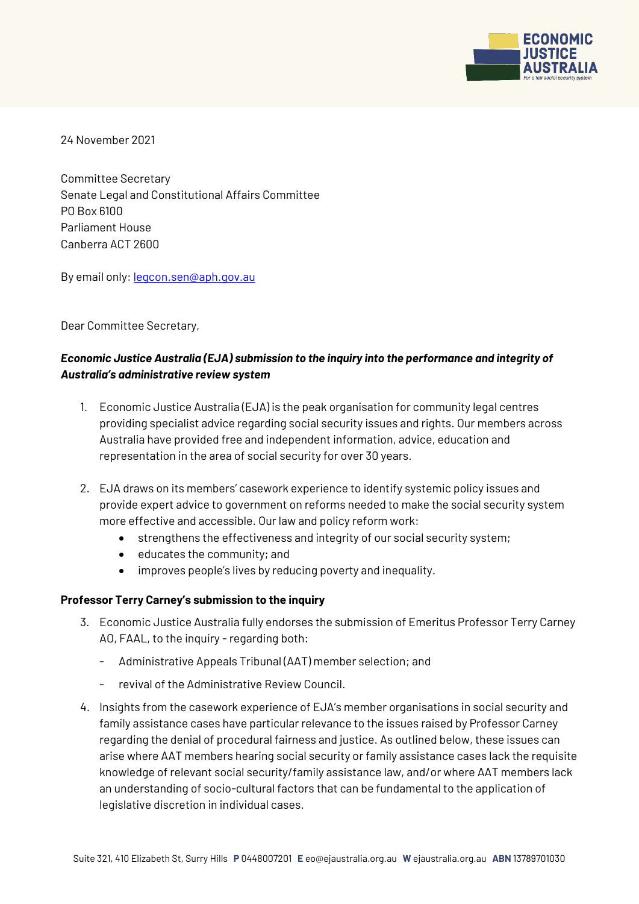

24 November 2021

Committee Secretary Senate Legal and Constitutional Affairs Committee PO Box 6100 Parliament House Canberra ACT 2600

By email only: [legcon.sen@aph.gov.au](mailto:legcon.sen@aph.gov.au)

Dear Committee Secretary,

# *Economic Justice Australia (EJA) submission to the inquiry into the performance and integrity of Australia's administrative review system*

- 1. Economic Justice Australia (EJA) is the peak organisation for community legal centres providing specialist advice regarding social security issues and rights. Our members across Australia have provided free and independent information, advice, education and representation in the area of social security for over 30 years.
- 2. EJA draws on its members' casework experience to identify systemic policy issues and provide expert advice to government on reforms needed to make the social security system more effective and accessible. Our law and policy reform work:
	- strengthens the effectiveness and integrity of our social security system;
	- $\bullet$  educates the community; and
	- improves people's lives by reducing poverty and inequality.

### **Professor Terry Carney's submission to the inquiry**

- 3. Economic Justice Australia fully endorses the submission of Emeritus Professor Terry Carney AO, FAAL, to the inquiry - regarding both:
	- Administrative Appeals Tribunal (AAT) member selection; and
	- revival of the Administrative Review Council.
- 4. Insights from the casework experience of EJA's member organisations in social security and family assistance cases have particular relevance to the issues raised by Professor Carney regarding the denial of procedural fairness and justice. As outlined below, these issues can arise where AAT members hearing social security or family assistance cases lack the requisite knowledge of relevant social security/family assistance law, and/or where AAT members lack an understanding of socio-cultural factors that can be fundamental to the application of legislative discretion in individual cases.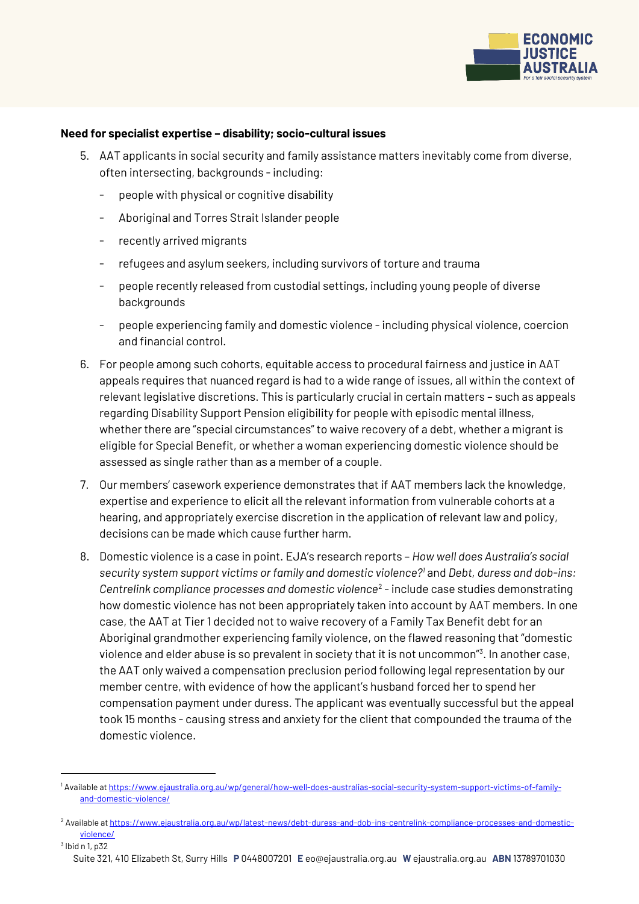

#### **Need for specialist expertise – disability; socio-cultural issues**

- 5. AAT applicants in social security and family assistance matters inevitably come from diverse, often intersecting, backgrounds - including:
	- people with physical or cognitive disability
	- Aboriginal and Torres Strait Islander people
	- recently arrived migrants
	- refugees and asylum seekers, including survivors of torture and trauma
	- people recently released from custodial settings, including young people of diverse backgrounds
	- people experiencing family and domestic violence -including physical violence, coercion and financial control.
- 6. For people among such cohorts, equitable access to procedural fairness and justice in AAT appeals requires that nuanced regard is had to a wide range of issues, all within the context of relevant legislative discretions. This is particularly crucial in certain matters – such as appeals regarding Disability Support Pension eligibility for people with episodic mental illness, whether there are "special circumstances" to waive recovery of a debt, whether a migrant is eligible for Special Benefit, or whether a woman experiencing domestic violence should be assessed as single rather than as a member of a couple.
- 7. Our members' casework experience demonstrates that if AAT members lack the knowledge, expertise and experience to elicit all the relevant information from vulnerable cohorts at a hearing, and appropriately exercise discretion in the application of relevant law and policy, decisions can be made which cause further harm.
- 8. Domestic violence is a case in point. EJA's research reports *How well does Australia's social security system support victims or family and domestic violence?<sup>1</sup>* and *Debt, duress and dob-ins:*  Centrelink compliance processes and domestic violence<sup>2</sup> - include case studies demonstrating how domestic violence has not been appropriately taken into account by AAT members. In one case, the AAT at Tier 1 decided not to waive recovery of a Family Tax Benefit debt for an Aboriginal grandmother experiencing family violence, on the flawed reasoning that "domestic violence and elder abuse is so prevalent in society that it is not uncommon"<sup>3</sup> . In another case, the AAT only waived a compensation preclusion period following legal representation by our member centre, with evidence of how the applicant's husband forced her to spend her compensation payment under duress. The applicant was eventually successful but the appeal took 15 months - causing stress and anxiety for the client that compounded the trauma of the domestic violence.

 $3$  lbid n 1, p32

1

<sup>1</sup> Available a[t https://www.ejaustralia.org.au/wp/general/how-well-does-australias-social-security-system-support-victims-of-family](https://www.ejaustralia.org.au/wp/general/how-well-does-australias-social-security-system-support-victims-of-family-and-domestic-violence/)[and-domestic-violence/](https://www.ejaustralia.org.au/wp/general/how-well-does-australias-social-security-system-support-victims-of-family-and-domestic-violence/)

<sup>2</sup> Available a[t https://www.ejaustralia.org.au/wp/latest-news/debt-duress-and-dob-ins-centrelink-compliance-processes-and-domestic](https://www.ejaustralia.org.au/wp/latest-news/debt-duress-and-dob-ins-centrelink-compliance-processes-and-domestic-violence/)[violence/](https://www.ejaustralia.org.au/wp/latest-news/debt-duress-and-dob-ins-centrelink-compliance-processes-and-domestic-violence/)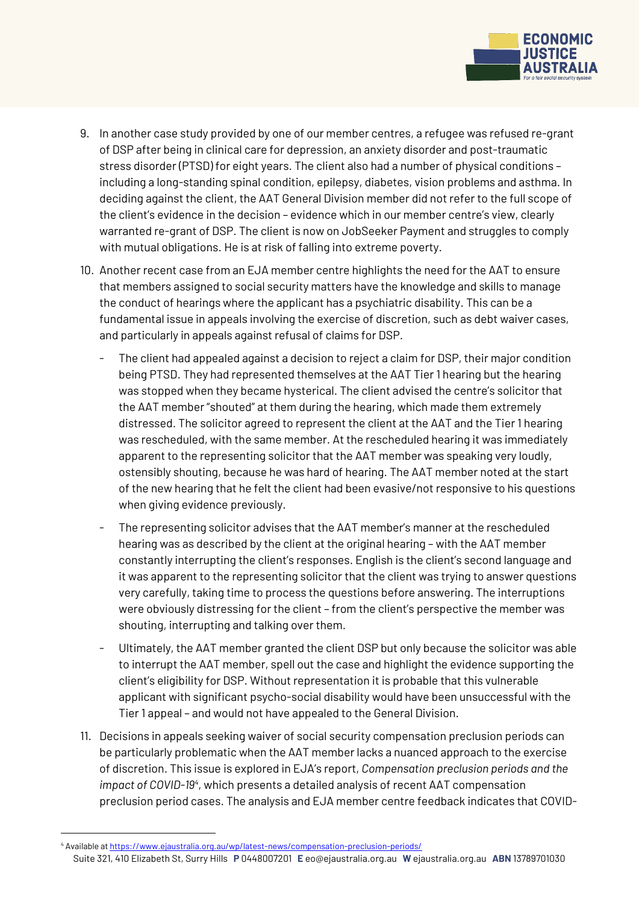

- 9. In another case study provided by one of our member centres, a refugee was refused re-grant of DSP after being in clinical care for depression, an anxiety disorder and post-traumatic stress disorder (PTSD) for eight years. The client also had a number of physical conditions – including a long-standing spinal condition, epilepsy, diabetes, vision problems and asthma. In deciding against the client, the AAT General Division member did not refer to the full scope of the client's evidence in the decision – evidence which in our member centre's view, clearly warranted re-grant of DSP. The client is now on JobSeeker Payment and struggles to comply with mutual obligations. He is at risk of falling into extreme poverty.
- 10. Another recent case from an EJA member centre highlights the need for the AAT to ensure that members assigned to social security matters have the knowledge and skills to manage the conduct of hearings where the applicant has a psychiatric disability. This can be a fundamental issue in appeals involving the exercise of discretion, such as debt waiver cases, and particularly in appeals against refusal of claims for DSP.
	- The client had appealed against a decision to reject a claim for DSP, their major condition being PTSD. They had represented themselves at the AAT Tier 1 hearing but the hearing was stopped when they became hysterical. The client advised the centre's solicitor that the AAT member "shouted" at them during the hearing, which made them extremely distressed. The solicitor agreed to represent the client at the AAT and the Tier 1 hearing was rescheduled, with the same member. At the rescheduled hearing it was immediately apparent to the representing solicitor that the AAT member was speaking very loudly, ostensibly shouting, because he was hard of hearing. The AAT member noted at the start of the new hearing that he felt the client had been evasive/not responsive to his questions when giving evidence previously.
	- The representing solicitor advises that the AAT member's manner at the rescheduled hearing was as described by the client at the original hearing – with the AAT member constantly interrupting the client's responses. English is the client's second language and it was apparent to the representing solicitor that the client was trying to answer questions very carefully, taking time to process the questions before answering. The interruptions were obviously distressing for the client – from the client's perspective the member was shouting, interrupting and talking over them.
	- Ultimately, the AAT member granted the client DSP but only because the solicitor was able to interrupt the AAT member, spell out the case and highlight the evidence supporting the client's eligibility for DSP. Without representation it is probable that this vulnerable applicant with significant psycho-social disability would have been unsuccessful with the Tier 1 appeal – and would not have appealed to the General Division.
- 11. Decisions in appeals seeking waiver of social security compensation preclusion periods can be particularly problematic when the AAT member lacks a nuanced approach to the exercise of discretion. This issue is explored in EJA's report, *Compensation preclusion periods and the impact of COVID-19<sup>4</sup>* , which presents a detailed analysis of recent AAT compensation preclusion period cases. The analysis and EJA member centre feedback indicates that COVID-

<u>.</u>

<sup>4</sup> Available a[t https://www.ejaustralia.org.au/wp/latest-news/compensation-preclusion-periods/](https://www.ejaustralia.org.au/wp/latest-news/compensation-preclusion-periods/)

Suite 321, 410 Elizabeth St, Surry Hills **P** 0448007201 **E** eo@ejaustralia.org.au **W** ejaustralia.org.au **ABN** 13789701030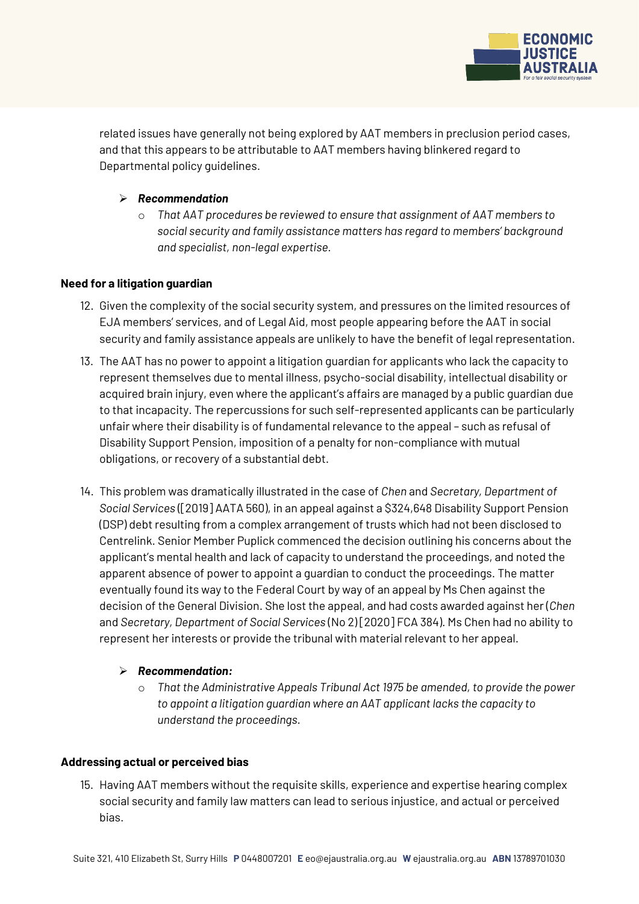

related issues have generally not being explored by AAT members in preclusion period cases, and that this appears to be attributable to AAT members having blinkered regard to Departmental policy quidelines.

### *Recommendation*

o *That AAT procedures be reviewed to ensure that assignment of AAT members to social security and family assistance matters has regard to members' background and specialist, non-legal expertise.*

### **Need for a litigation guardian**

- 12. Given the complexity of the social security system, and pressures on the limited resources of EJA members' services, and of Legal Aid, most people appearing before the AAT in social security and family assistance appeals are unlikely to have the benefit of legal representation.
- 13. The AAT has no power to appoint a litigation guardian for applicants who lack the capacity to represent themselves due to mental illness, psycho-social disability, intellectual disability or acquired brain injury, even where the applicant's affairs are managed by a public guardian due to that incapacity. The repercussions for such self-represented applicants can be particularly unfair where their disability is of fundamental relevance to the appeal – such as refusal of Disability Support Pension, imposition of a penalty for non-compliance with mutual obligations, or recovery of a substantial debt.
- 14. This problem was dramatically illustrated in the case of *Chen* and *Secretary, Department of Social Services* ([2019] AATA 560), in an appeal against a \$324,648 Disability Support Pension (DSP) debt resulting from a complex arrangement of trusts which had not been disclosed to Centrelink. Senior Member Puplick commenced the decision outlining his concerns about the applicant's mental health and lack of capacity to understand the proceedings, and noted the apparent absence of power to appoint a guardian to conduct the proceedings. The matter eventually found its way to the Federal Court by way of an appeal by Ms Chen against the decision of the General Division. She lost the appeal, and had costs awarded against her (*Chen* and *Secretary, Department of Social Services* (No 2) [2020] FCA 384). Ms Chen had no ability to represent her interests or provide the tribunal with material relevant to her appeal.

### *Recommendation:*

o *That the Administrative Appeals Tribunal Act 1975 be amended, to provide the power to appoint a litigation guardian where an AAT applicant lacks the capacity to understand the proceedings.* 

### **Addressing actual or perceived bias**

15. Having AAT members without the requisite skills, experience and expertise hearing complex social security and family law matters can lead to serious injustice, and actual or perceived bias.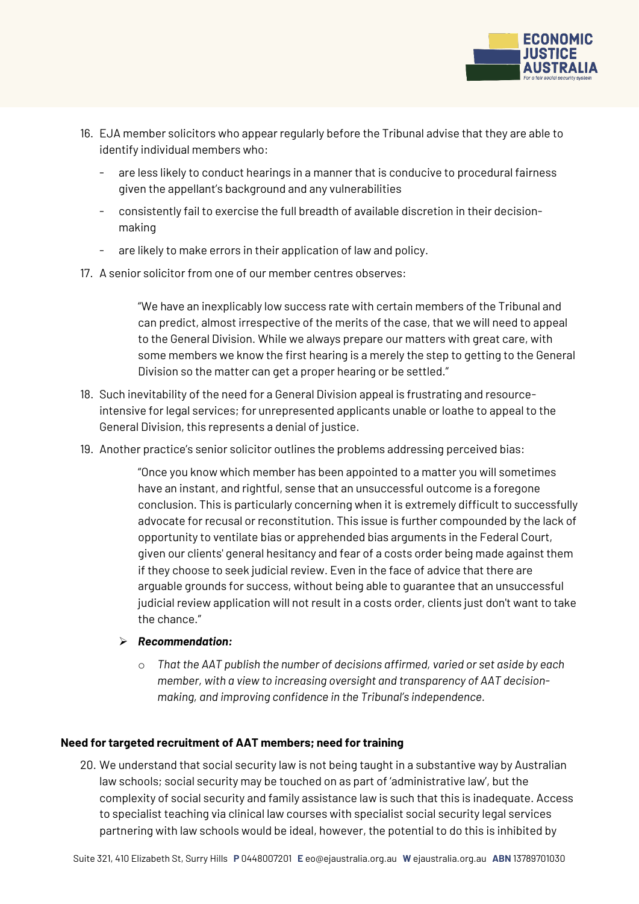

- 16. EJA member solicitors who appear regularly before the Tribunal advise that they are able to identify individual members who:
	- are less likely to conduct hearings in a manner that is conducive to procedural fairness given the appellant's background and any vulnerabilities
	- consistently fail to exercise the full breadth of available discretion in their decisionmaking
	- are likely to make errors in their application of law and policy.
- 17. A senior solicitor from one of our member centres observes:

"We have an inexplicably low success rate with certain members of the Tribunal and can predict, almost irrespective of the merits of the case, that we will need to appeal to the General Division. While we always prepare our matters with great care, with some members we know the first hearing is a merely the step to getting to the General Division so the matter can get a proper hearing or be settled."

- 18. Such inevitability of the need for a General Division appeal is frustrating and resourceintensive for legal services; for unrepresented applicants unable or loathe to appeal to the General Division, this represents a denial of justice.
- 19. Another practice's senior solicitor outlines the problems addressing perceived bias:

"Once you know which member has been appointed to a matter you will sometimes have an instant, and rightful, sense that an unsuccessful outcome is a foregone conclusion. This is particularly concerning when it is extremely difficult to successfully advocate for recusal or reconstitution. This issue is further compounded by the lack of opportunity to ventilate bias or apprehended bias arguments in the Federal Court, given our clients' general hesitancy and fear of a costs order being made against them if they choose to seek judicial review. Even in the face of advice that there are arguable grounds for success, without being able to guarantee that an unsuccessful judicial review application will not result in a costs order, clients just don't want to take the chance."

- *Recommendation:*
	- o *That the AAT publish the number of decisions affirmed, varied or set aside by each member, with a view to increasing oversight and transparency of AAT decisionmaking, and improving confidence in the Tribunal's independence.*

# **Need for targeted recruitment of AAT members; need for training**

20. We understand that social security law is not being taught in a substantive way by Australian law schools; social security may be touched on as part of 'administrative law', but the complexity of social security and family assistance law is such that this is inadequate. Access to specialist teaching via clinical law courses with specialist social security legal services partnering with law schools would be ideal, however, the potential to do this is inhibited by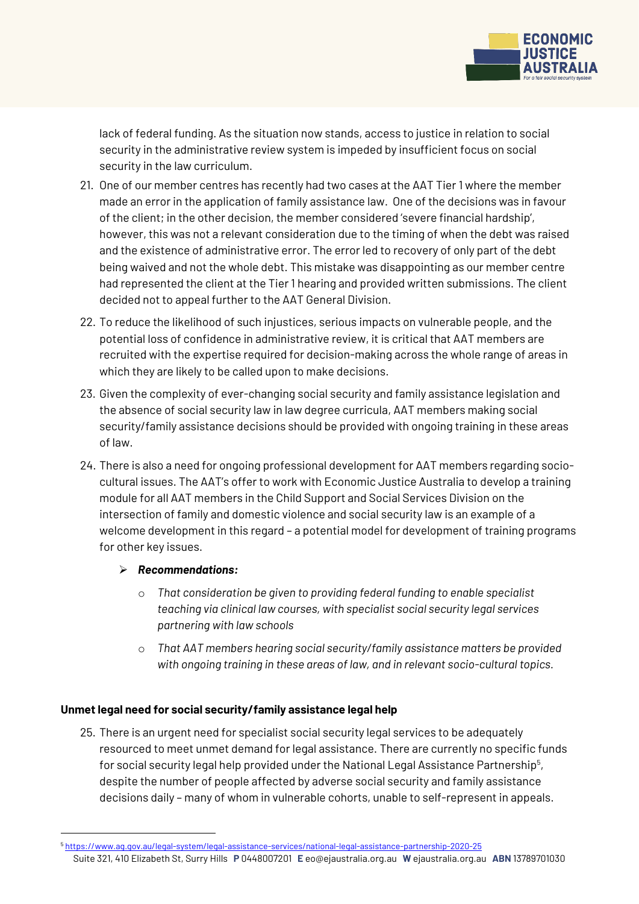

lack of federal funding. As the situation now stands, access to justice in relation to social security in the administrative review system is impeded by insufficient focus on social security in the law curriculum.

- 21. One of our member centres has recently had two cases at the AAT Tier 1 where the member made an error in the application of family assistance law. One of the decisions was in favour of the client; in the other decision, the member considered 'severe financial hardship', however, this was not a relevant consideration due to the timing of when the debt was raised and the existence of administrative error. The error led to recovery of only part of the debt being waived and not the whole debt. This mistake was disappointing as our member centre had represented the client at the Tier 1 hearing and provided written submissions. The client decided not to appeal further to the AAT General Division.
- 22. To reduce the likelihood of such injustices, serious impacts on vulnerable people, and the potential loss of confidence in administrative review, it is critical that AAT members are recruited with the expertise required for decision-making across the whole range of areas in which they are likely to be called upon to make decisions.
- 23. Given the complexity of ever-changing social security and family assistance legislation and the absence of social security law in law degree curricula, AAT members making social security/family assistance decisions should be provided with ongoing training in these areas of law.
- 24. There is also a need for ongoing professional development for AAT members regarding sociocultural issues. The AAT's offer to work with Economic Justice Australia to develop a training module for all AAT members in the Child Support and Social Services Division on the intersection of family and domestic violence and social security law is an example of a welcome development in this regard – a potential model for development of training programs for other key issues.

# *Recommendations:*

<u>.</u>

- o *That consideration be given to providing federal funding to enable specialist teaching via clinical law courses, with specialist social security legal services partnering with law schools*
- o *That AAT members hearing social security/family assistance matters be provided with ongoing training in these areas of law, and in relevant socio-cultural topics.*

# **Unmet legal need for social security/family assistance legal help**

25. There is an urgent need for specialist social security legal services to be adequately resourced to meet unmet demand for legal assistance. There are currently no specific funds for social security legal help provided under the National Legal Assistance Partnership<sup>5</sup>, despite the number of people affected by adverse social security and family assistance decisions daily – many of whom in vulnerable cohorts, unable to self-represent in appeals.

Suite 321, 410 Elizabeth St, Surry Hills **P** 0448007201 **E** eo@ejaustralia.org.au **W** ejaustralia.org.au **ABN** 13789701030 <sup>5</sup> <https://www.ag.gov.au/legal-system/legal-assistance-services/national-legal-assistance-partnership-2020-25>